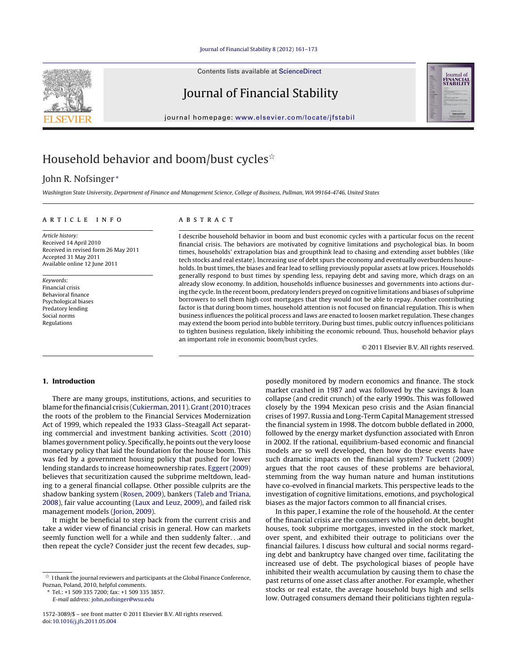### Journal of Financial Stability [8 \(2012\) 161–173](dx.doi.org/10.1016/j.jfs.2011.05.004)

Contents lists available at [ScienceDirect](http://www.sciencedirect.com/science/journal/15723089)

# Journal of Financial Stability

journal homepage: [www.elsevier.com/locate/jfstabil](http://www.elsevier.com/locate/jfstabil)



# Household behavior and boom/bust cycles $\dot{\tilde{}}$

# John R. Nofsinger <sup>∗</sup>

Washington State University, Department of Finance and Management Science, College of Business, Pullman, WA 99164-4746, United States

#### a r t i c l e i n f o

Article history: Received 14 April 2010 Received in revised form 26 May 2011 Accepted 31 May 2011 Available online 12 June 2011

Keywords: Financial crisis Behavioral finance Psychological biases Predatory lending Social norms Regulations

## A B S T R A C T

I describe household behavior in boom and bust economic cycles with a particular focus on the recent financial crisis. The behaviors are motivated by cognitive limitations and psychological bias. In boom times, households' extrapolation bias and groupthink lead to chasing and extending asset bubbles (like tech stocks and real estate). Increasing use of debt spurs the economy and eventually overburdens households. In bust times, the biases and fear lead to selling previously popular assets at low prices. Households generally respond to bust times by spending less, repaying debt and saving more, which drags on an already slow economy. In addition, households influence businesses and governments into actions during the cycle. In the recent boom, predatory lenders preyed on cognitive limitations and biases of subprime borrowers to sell them high cost mortgages that they would not be able to repay. Another contributing factor is that during boom times, household attention is not focused on financial regulation. This is when business influences the political process and laws are enacted to loosen market regulation. These changes may extend the boom period into bubble territory. During bust times, public outcry influences politicians to tighten business regulation, likely inhibiting the economic rebound. Thus, household behavior plays an important role in economic boom/bust cycles.

© 2011 Elsevier B.V. All rights reserved.

### **1. Introduction**

There are many groups, institutions, actions, and securities to blame for the financial crisis [\(Cukierman,](#page--1-0) [2011\).](#page--1-0) Grant (2010) traces the roots of the problem to the Financial Services Modernization Act of 1999, which repealed the 1933 Glass–Steagall Act separating commercial and investment banking activities. [Scott](#page--1-0) [\(2010\)](#page--1-0) blames government policy. Specifically, he points out the very loose monetary policy that laid the foundation for the house boom. This was fed by a government housing policy that pushed for lower lending standards to increase homeownership rates. [Eggert](#page--1-0) [\(2009\)](#page--1-0) believes that securitization caused the subprime meltdown, leading to a general financial collapse. Other possible culprits are the shadow banking system ([Rosen,](#page--1-0) [2009\),](#page--1-0) bankers ([Taleb](#page--1-0) [and](#page--1-0) [Triana,](#page--1-0) [2008\),](#page--1-0) fair value accounting ([Laux](#page--1-0) [and](#page--1-0) [Leuz,](#page--1-0) [2009\),](#page--1-0) and failed risk management models [\(Jorion,](#page--1-0) [2009\).](#page--1-0)

It might be beneficial to step back from the current crisis and take a wider view of financial crisis in general. How can markets seemly function well for a while and then suddenly falter. . .and then repeat the cycle? Consider just the recent few decades, sup-

∗ Tel.: +1 509 335 7200; fax: +1 509 335 3857. E-mail address: john [nofsinger@wsu.edu](mailto:john_nofsinger@wsu.edu)

posedly monitored by modern economics and finance. The stock market crashed in 1987 and was followed by the savings & loan collapse (and credit crunch) of the early 1990s. This was followed closely by the 1994 Mexican peso crisis and the Asian financial crises of 1997. Russia and Long-Term Capital Management stressed the financial system in 1998. The dotcom bubble deflated in 2000, followed by the energy market dysfunction associated with Enron in 2002. If the rational, equilibrium-based economic and financial models are so well developed, then how do these events have such dramatic impacts on the financial system? [Tuckett](#page--1-0) [\(2009\)](#page--1-0) argues that the root causes of these problems are behavioral, stemming from the way human nature and human institutions have co-evolved in financial markets. This perspective leads to the investigation of cognitive limitations, emotions, and psychological biases as the major factors common to all financial crises.

In this paper, I examine the role of the household. At the center of the financial crisis are the consumers who piled on debt, bought houses, took subprime mortgages, invested in the stock market, over spent, and exhibited their outrage to politicians over the financial failures. I discuss how cultural and social norms regarding debt and bankruptcy have changed over time, facilitating the increased use of debt. The psychological biases of people have inhibited their wealth accumulation by causing them to chase the past returns of one asset class after another. For example, whether stocks or real estate, the average household buys high and sells low. Outraged consumers demand their politicians tighten regula-

 $^\star\,$  I thank the journal reviewers and participants at the Global Finance Conference, Poznan, Poland, 2010, helpful comments.

<sup>1572-3089/\$</sup> – see front matter © 2011 Elsevier B.V. All rights reserved. doi:[10.1016/j.jfs.2011.05.004](dx.doi.org/10.1016/j.jfs.2011.05.004)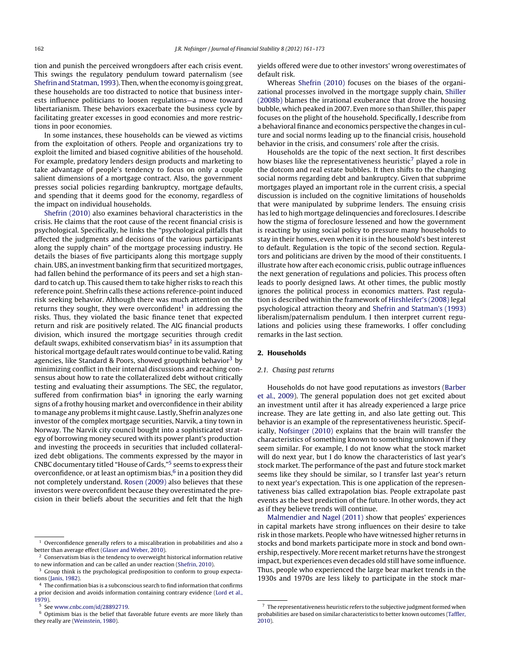tion and punish the perceived wrongdoers after each crisis event. This swings the regulatory pendulum toward paternalism (see [Shefrinand](#page--1-0) [Statman,](#page--1-0) [1993\).](#page--1-0) Then, whenthe economy is going great, these households are too distracted to notice that business interests influence politicians to loosen regulations—a move toward libertarianism. These behaviors exacerbate the business cycle by facilitating greater excesses in good economies and more restrictions in poor economies.

In some instances, these households can be viewed as victims from the exploitation of others. People and organizations try to exploit the limited and biased cognitive abilities of the household. For example, predatory lenders design products and marketing to take advantage of people's tendency to focus on only a couple salient dimensions of a mortgage contract. Also, the government presses social policies regarding bankruptcy, mortgage defaults, and spending that it deems good for the economy, regardless of the impact on individual households.

[Shefrin](#page--1-0) [\(2010\)](#page--1-0) also examines behavioral characteristics in the crisis. He claims that the root cause of the recent financial crisis is psychological. Specifically, he links the "psychological pitfalls that affected the judgments and decisions of the various participants along the supply chain" of the mortgage processing industry. He details the biases of five participants along this mortgage supply chain. UBS, an investment banking firm that securitized mortgages, had fallen behind the performance of its peers and set a high standard to catch up. This caused them to take higher risks to reach this reference point. Shefrin calls these actions reference-point induced risk seeking behavior. Although there was much attention on the returns they sought, they were overconfident<sup>1</sup> in addressing the risks. Thus, they violated the basic finance tenet that expected return and risk are positively related. The AIG financial products division, which insured the mortgage securities through credit default swaps, exhibited conservatism bias<sup>2</sup> in its assumption that historical mortgage default rates would continue to be valid. Rating agencies, like Standard & Poors, showed groupthink behavior<sup>3</sup> by minimizing conflict in their internal discussions and reaching consensus about how to rate the collateralized debt without critically testing and evaluating their assumptions. The SEC, the regulator, suffered from confirmation bias<sup>4</sup> in ignoring the early warning signs of a frothy housing market and overconfidence in their ability to manage any problems it might cause. Lastly, Shefrin analyzes one investor of the complex mortgage securities, Narvik, a tiny town in Norway. The Narvik city council bought into a sophisticated strategy of borrowing money secured with its power plant's production and investing the proceeds in securities that included collateralized debt obligations. The comments expressed by the mayor in CNBC documentary titled "House of Cards,"5 seems to express their overconfidence, or at least an optimism bias, $6$  in a position they did not completely understand. [Rosen](#page--1-0) [\(2009\)](#page--1-0) also believes that these investors were overconfident because they overestimated the precision in their beliefs about the securities and felt that the high yields offered were due to other investors' wrong overestimates of default risk.

Whereas [Shefrin](#page--1-0) [\(2010\)](#page--1-0) focuses on the biases of the organizational processes involved in the mortgage supply chain, [Shiller](#page--1-0) [\(2008b\)](#page--1-0) blames the irrational exuberance that drove the housing bubble, which peaked in 2007. Even more so than Shiller, this paper focuses on the plight of the household. Specifically, I describe from a behavioral finance and economics perspective the changes in culture and social norms leading up to the financial crisis, household behavior in the crisis, and consumers' role after the crisis.

Households are the topic of the next section. It first describes how biases like the representativeness heuristic<sup>7</sup> played a role in the dotcom and real estate bubbles. It then shifts to the changing social norms regarding debt and bankruptcy. Given that subprime mortgages played an important role in the current crisis, a special discussion is included on the cognitive limitations of households that were manipulated by subprime lenders. The ensuing crisis has led to high mortgage delinquencies and foreclosures. I describe how the stigma of foreclosure lessened and how the government is reacting by using social policy to pressure many households to stay in their homes, even when it is in the household's best interest to default. Regulation is the topic of the second section. Regulators and politicians are driven by the mood of their constituents. I illustrate how after each economic crisis, public outrage influences the next generation of regulations and policies. This process often leads to poorly designed laws. At other times, the public mostly ignores the political process in economics matters. Past regulation is described within the framework of [Hirshleifer's](#page--1-0) [\(2008\)](#page--1-0) legal psychological attraction theory and [Shefrin](#page--1-0) [and](#page--1-0) [Statman's](#page--1-0) [\(1993\)](#page--1-0) liberalism/paternalism pendulum. I then interpret current regulations and policies using these frameworks. I offer concluding remarks in the last section.

### **2. Households**

#### 2.1. Chasing past returns

Households do not have good reputations as investors ([Barber](#page--1-0) et [al.,](#page--1-0) [2009\).](#page--1-0) The general population does not get excited about an investment until after it has already experienced a large price increase. They are late getting in, and also late getting out. This behavior is an example of the representativeness heuristic. Specifically, [Nofsinger](#page--1-0) [\(2010\)](#page--1-0) explains that the brain will transfer the characteristics of something known to something unknown if they seem similar. For example, I do not know what the stock market will do next year, but I do know the characteristics of last year's stock market. The performance of the past and future stock market seems like they should be similar, so I transfer last year's return to next year's expectation. This is one application of the representativeness bias called extrapolation bias. People extrapolate past events as the best prediction of the future. In other words, they act as if they believe trends will continue.

[Malmendier](#page--1-0) [and](#page--1-0) [Nagel](#page--1-0) [\(2011\)](#page--1-0) show that peoples' experiences in capital markets have strong influences on their desire to take risk in those markets. People who have witnessed higher returns in stocks and bond markets participate more in stock and bond ownership, respectively. More recent market returns have the strongest impact, but experiences even decades old still have some influence. Thus, people who experienced the large bear market trends in the 1930s and 1970s are less likely to participate in the stock mar-

 $^{\rm 1}$  Overconfidence generally refers to a miscalibration in probabilities and also a better than average effect [\(Glaser](#page--1-0) [and](#page--1-0) [Weber,](#page--1-0) [2010\).](#page--1-0)

<sup>&</sup>lt;sup>2</sup> Conservatism bias is the tendency to overweight historical information relative to new information and can be called an under reaction ([Shefrin,](#page--1-0) [2010\).](#page--1-0)

<sup>&</sup>lt;sup>3</sup> Group think is the psychological predisposition to conform to group expectations [\(Janis,](#page--1-0) [1982\).](#page--1-0)

<sup>4</sup> The confirmation bias is a subconscious search to find information that confirms a prior decision and avoids information containing contrary evidence ([Lord](#page--1-0) et [al.,](#page--1-0) [1979\).](#page--1-0)

<sup>5</sup> See [www.cnbc.com/id/28892719.](http://www.cnbc.com/id/28892719)

<sup>6</sup> Optimism bias is the belief that favorable future events are more likely than they really are ([Weinstein,](#page--1-0) [1980\).](#page--1-0)

 $^7\,$  The representativeness heuristic refers to the subjective judgment formed when probabilities are based on similar characteristics to better known outcomes ([Taffler,](#page--1-0) [2010\).](#page--1-0)